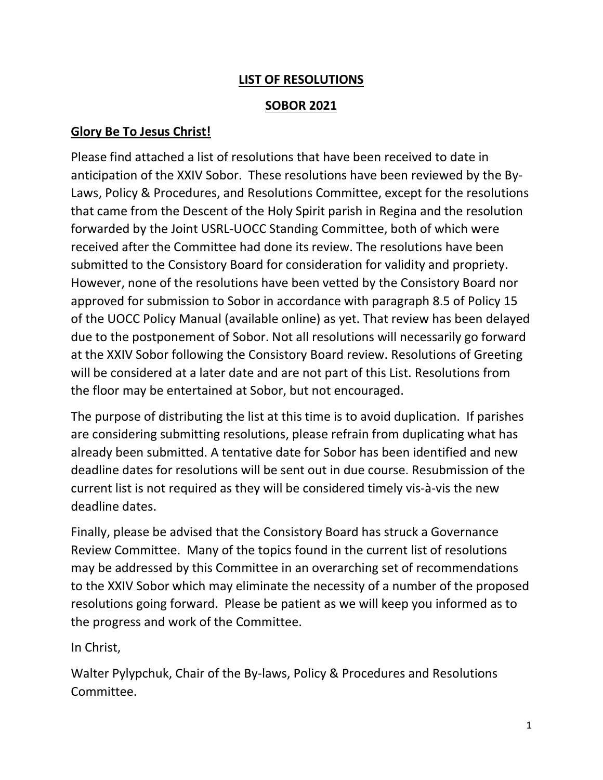## LIST OF RESOLUTIONS

## SOBOR 2021

## Glory Be To Jesus Christ!

Please find attached a list of resolutions that have been received to date in anticipation of the XXIV Sobor. These resolutions have been reviewed by the By-Laws, Policy & Procedures, and Resolutions Committee, except for the resolutions that came from the Descent of the Holy Spirit parish in Regina and the resolution forwarded by the Joint USRL-UOCC Standing Committee, both of which were received after the Committee had done its review. The resolutions have been submitted to the Consistory Board for consideration for validity and propriety. However, none of the resolutions have been vetted by the Consistory Board nor approved for submission to Sobor in accordance with paragraph 8.5 of Policy 15 of the UOCC Policy Manual (available online) as yet. That review has been delayed due to the postponement of Sobor. Not all resolutions will necessarily go forward at the XXIV Sobor following the Consistory Board review. Resolutions of Greeting will be considered at a later date and are not part of this List. Resolutions from the floor may be entertained at Sobor, but not encouraged.

The purpose of distributing the list at this time is to avoid duplication. If parishes are considering submitting resolutions, please refrain from duplicating what has already been submitted. A tentative date for Sobor has been identified and new deadline dates for resolutions will be sent out in due course. Resubmission of the current list is not required as they will be considered timely vis-à-vis the new deadline dates.

Finally, please be advised that the Consistory Board has struck a Governance Review Committee. Many of the topics found in the current list of resolutions may be addressed by this Committee in an overarching set of recommendations to the XXIV Sobor which may eliminate the necessity of a number of the proposed resolutions going forward. Please be patient as we will keep you informed as to the progress and work of the Committee.

In Christ,

Walter Pylypchuk, Chair of the By-laws, Policy & Procedures and Resolutions Committee.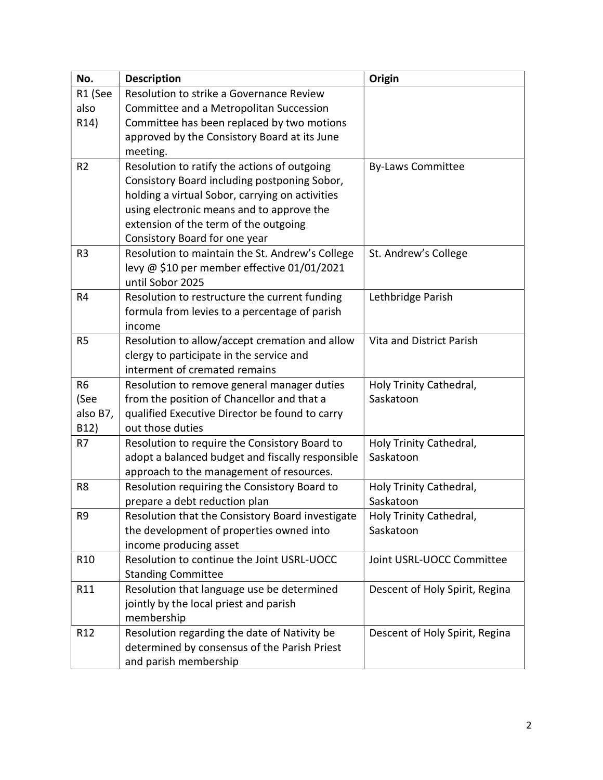| No.               | <b>Description</b>                                                   | Origin                         |
|-------------------|----------------------------------------------------------------------|--------------------------------|
| R1 (See           | Resolution to strike a Governance Review                             |                                |
| also              | Committee and a Metropolitan Succession                              |                                |
| R <sub>14</sub> ) | Committee has been replaced by two motions                           |                                |
|                   | approved by the Consistory Board at its June                         |                                |
|                   | meeting.                                                             |                                |
| R <sub>2</sub>    | Resolution to ratify the actions of outgoing                         | <b>By-Laws Committee</b>       |
|                   | Consistory Board including postponing Sobor,                         |                                |
|                   | holding a virtual Sobor, carrying on activities                      |                                |
|                   | using electronic means and to approve the                            |                                |
|                   | extension of the term of the outgoing                                |                                |
|                   | Consistory Board for one year                                        |                                |
| R <sub>3</sub>    | Resolution to maintain the St. Andrew's College                      | St. Andrew's College           |
|                   | levy @ \$10 per member effective 01/01/2021                          |                                |
|                   | until Sobor 2025                                                     |                                |
| R4                | Resolution to restructure the current funding                        | Lethbridge Parish              |
|                   | formula from levies to a percentage of parish                        |                                |
|                   | income                                                               |                                |
| R <sub>5</sub>    | Resolution to allow/accept cremation and allow                       | Vita and District Parish       |
|                   | clergy to participate in the service and                             |                                |
|                   | interment of cremated remains                                        |                                |
| R <sub>6</sub>    | Resolution to remove general manager duties                          | Holy Trinity Cathedral,        |
| (See              | from the position of Chancellor and that a                           | Saskatoon                      |
| also B7,          | qualified Executive Director be found to carry                       |                                |
| B12)              | out those duties                                                     |                                |
| R7                | Resolution to require the Consistory Board to                        | Holy Trinity Cathedral,        |
|                   | adopt a balanced budget and fiscally responsible                     | Saskatoon                      |
|                   | approach to the management of resources.                             |                                |
| R <sub>8</sub>    | Resolution requiring the Consistory Board to                         | Holy Trinity Cathedral,        |
|                   | prepare a debt reduction plan                                        | Saskatoon                      |
| R <sub>9</sub>    | Resolution that the Consistory Board investigate                     | Holy Trinity Cathedral,        |
|                   | the development of properties owned into                             | Saskatoon                      |
|                   | income producing asset<br>Resolution to continue the Joint USRL-UOCC |                                |
| R <sub>10</sub>   |                                                                      | Joint USRL-UOCC Committee      |
|                   | <b>Standing Committee</b>                                            |                                |
| R11               | Resolution that language use be determined                           | Descent of Holy Spirit, Regina |
|                   | jointly by the local priest and parish                               |                                |
| R <sub>12</sub>   | membership<br>Resolution regarding the date of Nativity be           |                                |
|                   | determined by consensus of the Parish Priest                         | Descent of Holy Spirit, Regina |
|                   |                                                                      |                                |
|                   | and parish membership                                                |                                |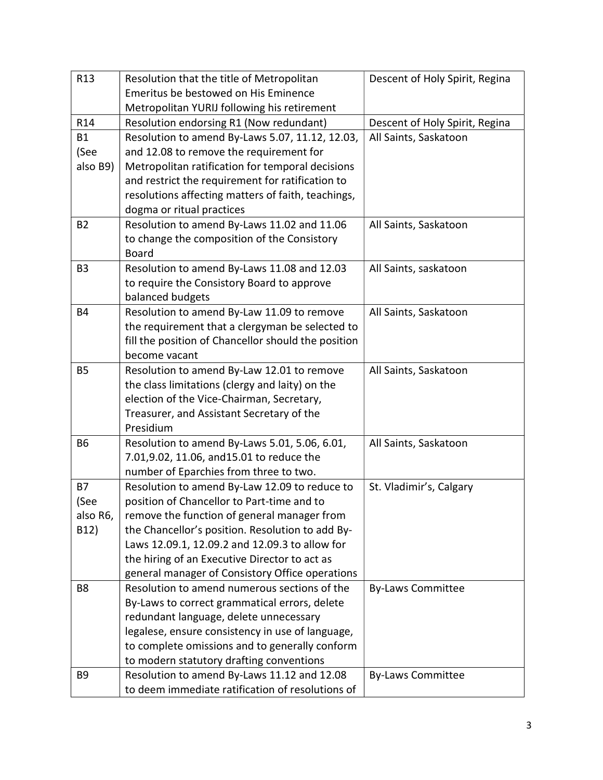| R <sub>13</sub> | Resolution that the title of Metropolitan           | Descent of Holy Spirit, Regina |
|-----------------|-----------------------------------------------------|--------------------------------|
|                 | Emeritus be bestowed on His Eminence                |                                |
|                 | Metropolitan YURIJ following his retirement         |                                |
| R <sub>14</sub> | Resolution endorsing R1 (Now redundant)             | Descent of Holy Spirit, Regina |
| <b>B1</b>       | Resolution to amend By-Laws 5.07, 11.12, 12.03,     | All Saints, Saskatoon          |
| (See            | and 12.08 to remove the requirement for             |                                |
| also B9)        | Metropolitan ratification for temporal decisions    |                                |
|                 | and restrict the requirement for ratification to    |                                |
|                 | resolutions affecting matters of faith, teachings,  |                                |
|                 | dogma or ritual practices                           |                                |
| <b>B2</b>       | Resolution to amend By-Laws 11.02 and 11.06         | All Saints, Saskatoon          |
|                 | to change the composition of the Consistory         |                                |
|                 | <b>Board</b>                                        |                                |
| B <sub>3</sub>  | Resolution to amend By-Laws 11.08 and 12.03         | All Saints, saskatoon          |
|                 | to require the Consistory Board to approve          |                                |
|                 | balanced budgets                                    |                                |
| <b>B4</b>       | Resolution to amend By-Law 11.09 to remove          | All Saints, Saskatoon          |
|                 | the requirement that a clergyman be selected to     |                                |
|                 | fill the position of Chancellor should the position |                                |
|                 | become vacant                                       |                                |
| <b>B5</b>       | Resolution to amend By-Law 12.01 to remove          | All Saints, Saskatoon          |
|                 | the class limitations (clergy and laity) on the     |                                |
|                 | election of the Vice-Chairman, Secretary,           |                                |
|                 | Treasurer, and Assistant Secretary of the           |                                |
|                 | Presidium                                           |                                |
| <b>B6</b>       | Resolution to amend By-Laws 5.01, 5.06, 6.01,       | All Saints, Saskatoon          |
|                 | 7.01,9.02, 11.06, and 15.01 to reduce the           |                                |
|                 | number of Eparchies from three to two.              |                                |
| <b>B7</b>       | Resolution to amend By-Law 12.09 to reduce to       | St. Vladimir's, Calgary        |
| (See            | position of Chancellor to Part-time and to          |                                |
| also R6,        | remove the function of general manager from         |                                |
| B12)            | the Chancellor's position. Resolution to add By-    |                                |
|                 | Laws 12.09.1, 12.09.2 and 12.09.3 to allow for      |                                |
|                 | the hiring of an Executive Director to act as       |                                |
|                 | general manager of Consistory Office operations     |                                |
| B <sub>8</sub>  | Resolution to amend numerous sections of the        | <b>By-Laws Committee</b>       |
|                 | By-Laws to correct grammatical errors, delete       |                                |
|                 | redundant language, delete unnecessary              |                                |
|                 | legalese, ensure consistency in use of language,    |                                |
|                 | to complete omissions and to generally conform      |                                |
|                 | to modern statutory drafting conventions            |                                |
| B <sub>9</sub>  | Resolution to amend By-Laws 11.12 and 12.08         | <b>By-Laws Committee</b>       |
|                 | to deem immediate ratification of resolutions of    |                                |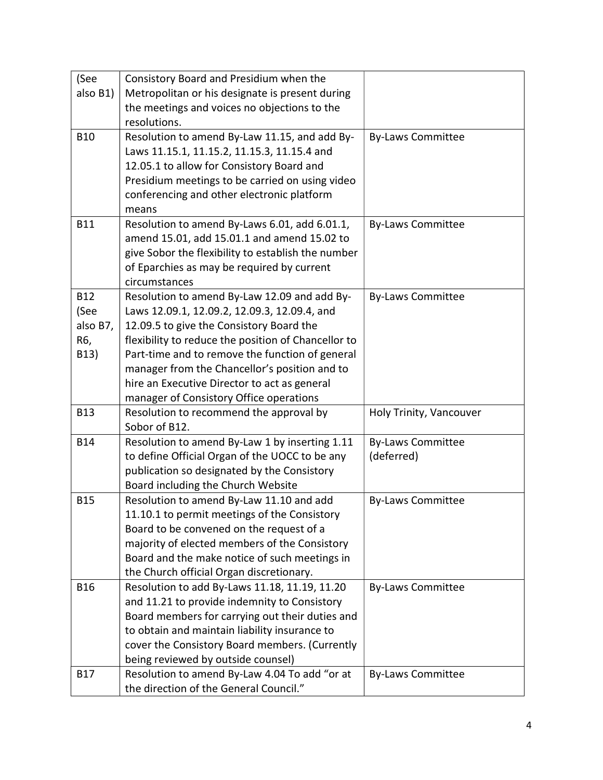| (See       | Consistory Board and Presidium when the             |                          |
|------------|-----------------------------------------------------|--------------------------|
| also B1)   | Metropolitan or his designate is present during     |                          |
|            | the meetings and voices no objections to the        |                          |
|            | resolutions.                                        |                          |
| <b>B10</b> | Resolution to amend By-Law 11.15, and add By-       | <b>By-Laws Committee</b> |
|            | Laws 11.15.1, 11.15.2, 11.15.3, 11.15.4 and         |                          |
|            | 12.05.1 to allow for Consistory Board and           |                          |
|            | Presidium meetings to be carried on using video     |                          |
|            | conferencing and other electronic platform          |                          |
|            | means                                               |                          |
| <b>B11</b> | Resolution to amend By-Laws 6.01, add 6.01.1,       | <b>By-Laws Committee</b> |
|            | amend 15.01, add 15.01.1 and amend 15.02 to         |                          |
|            | give Sobor the flexibility to establish the number  |                          |
|            | of Eparchies as may be required by current          |                          |
|            | circumstances                                       |                          |
| <b>B12</b> | Resolution to amend By-Law 12.09 and add By-        | <b>By-Laws Committee</b> |
| (See       | Laws 12.09.1, 12.09.2, 12.09.3, 12.09.4, and        |                          |
| also B7,   | 12.09.5 to give the Consistory Board the            |                          |
| R6,        | flexibility to reduce the position of Chancellor to |                          |
| B13)       | Part-time and to remove the function of general     |                          |
|            | manager from the Chancellor's position and to       |                          |
|            | hire an Executive Director to act as general        |                          |
|            | manager of Consistory Office operations             |                          |
| <b>B13</b> | Resolution to recommend the approval by             | Holy Trinity, Vancouver  |
|            | Sobor of B12.                                       |                          |
| <b>B14</b> | Resolution to amend By-Law 1 by inserting 1.11      | <b>By-Laws Committee</b> |
|            | to define Official Organ of the UOCC to be any      | (deferred)               |
|            | publication so designated by the Consistory         |                          |
|            | Board including the Church Website                  |                          |
| <b>B15</b> | Resolution to amend By-Law 11.10 and add            | <b>By-Laws Committee</b> |
|            | 11.10.1 to permit meetings of the Consistory        |                          |
|            | Board to be convened on the request of a            |                          |
|            | majority of elected members of the Consistory       |                          |
|            | Board and the make notice of such meetings in       |                          |
|            | the Church official Organ discretionary.            |                          |
| <b>B16</b> | Resolution to add By-Laws 11.18, 11.19, 11.20       | <b>By-Laws Committee</b> |
|            | and 11.21 to provide indemnity to Consistory        |                          |
|            | Board members for carrying out their duties and     |                          |
|            | to obtain and maintain liability insurance to       |                          |
|            | cover the Consistory Board members. (Currently      |                          |
|            | being reviewed by outside counsel)                  |                          |
| <b>B17</b> | Resolution to amend By-Law 4.04 To add "or at       | <b>By-Laws Committee</b> |
|            | the direction of the General Council."              |                          |